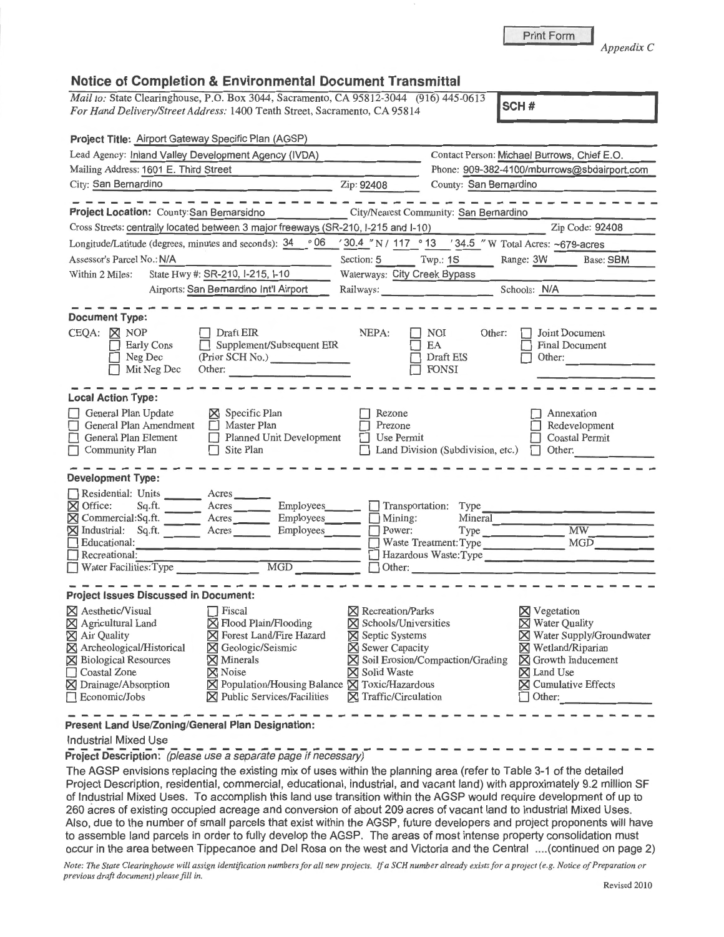**Print Form** 

*Appendix C* 

### **Notice of Completion** & **Environmental Document Transmittal**

*Mail to: State Clearinghouse, P.O. Box 3044, Sacramento, CA 95812-3044 (916) 445-0613 For Hand Delivery/Street Address:* 1400 Tenth Street, Sacramento, CA 95814

| Project Title: Airport Gateway Specific Plan (AGSP)                                                                                                                                                                                                                                                                                                                                                                                                        |                                                                                                                                                                         |                                                                                                |                                                                                                                                                                                                                       |  |
|------------------------------------------------------------------------------------------------------------------------------------------------------------------------------------------------------------------------------------------------------------------------------------------------------------------------------------------------------------------------------------------------------------------------------------------------------------|-------------------------------------------------------------------------------------------------------------------------------------------------------------------------|------------------------------------------------------------------------------------------------|-----------------------------------------------------------------------------------------------------------------------------------------------------------------------------------------------------------------------|--|
| Lead Agency: Inland Valley Development Agency (IVDA)                                                                                                                                                                                                                                                                                                                                                                                                       |                                                                                                                                                                         | Contact Person: Michael Burrows, Chief E.O.                                                    |                                                                                                                                                                                                                       |  |
| Mailing Address: 1601 E. Third Street                                                                                                                                                                                                                                                                                                                                                                                                                      |                                                                                                                                                                         | Phone: 909-382-4100/mburrows@sbdairport.com                                                    |                                                                                                                                                                                                                       |  |
| City: San Bernardino                                                                                                                                                                                                                                                                                                                                                                                                                                       | Zip: 92408                                                                                                                                                              | County: San Bernardino                                                                         |                                                                                                                                                                                                                       |  |
|                                                                                                                                                                                                                                                                                                                                                                                                                                                            |                                                                                                                                                                         |                                                                                                |                                                                                                                                                                                                                       |  |
| Project Location: County: San Bernarsidno                                                                                                                                                                                                                                                                                                                                                                                                                  |                                                                                                                                                                         | City/Nearest Community: San Bernardino                                                         |                                                                                                                                                                                                                       |  |
| Cross Streets: centrally located between 3 major freeways (SR-210, I-215 and I-10)                                                                                                                                                                                                                                                                                                                                                                         |                                                                                                                                                                         |                                                                                                | Zip Code: 92408                                                                                                                                                                                                       |  |
| Longitude/Latitude (degrees, minutes and seconds): 34                                                                                                                                                                                                                                                                                                                                                                                                      | 06 '30.4 "N / 117 ° 13 '34.5 "W Total Acres: ~679-acres                                                                                                                 |                                                                                                |                                                                                                                                                                                                                       |  |
| Assessor's Parcel No.: N/A                                                                                                                                                                                                                                                                                                                                                                                                                                 | Section: $5$ Twp.: 1S                                                                                                                                                   |                                                                                                | Range: 3W<br>Base: SBM                                                                                                                                                                                                |  |
| State Hwy #: SR-210, I-215, I-10<br>Within 2 Miles:                                                                                                                                                                                                                                                                                                                                                                                                        | Waterways: City Creek Bypass                                                                                                                                            |                                                                                                |                                                                                                                                                                                                                       |  |
| Airports: San Bernardino Int'l Airport                                                                                                                                                                                                                                                                                                                                                                                                                     | Railways:                                                                                                                                                               | Schools: N/A                                                                                   |                                                                                                                                                                                                                       |  |
| <b>Document Type:</b>                                                                                                                                                                                                                                                                                                                                                                                                                                      |                                                                                                                                                                         |                                                                                                |                                                                                                                                                                                                                       |  |
| $CEQA: \boxtimes NOP$<br>$\Box$ Draft EIR<br>Supplement/Subsequent EIR<br><b>Early Cons</b><br>(Prior SCH No.)<br>Neg Dec<br>Other:<br>Mit Neg Dec                                                                                                                                                                                                                                                                                                         | NEPA:                                                                                                                                                                   | NOI<br>Other:<br>EA<br>Draft EIS<br><b>FONSI</b>                                               | Joint Document<br><b>Final Document</b><br>Other:                                                                                                                                                                     |  |
| <b>Local Action Type:</b>                                                                                                                                                                                                                                                                                                                                                                                                                                  |                                                                                                                                                                         |                                                                                                |                                                                                                                                                                                                                       |  |
| General Plan Update<br>$\boxtimes$ Specific Plan<br>General Plan Amendment<br>Master Plan<br>General Plan Element<br>Planned Unit Development<br>Community Plan<br>$\Box$ Site Plan                                                                                                                                                                                                                                                                        | Rezone<br>Prezone<br>Use Permit                                                                                                                                         | Land Division (Subdivision, etc.)                                                              | Annexation<br>Redevelopment<br><b>Coastal Permit</b><br>$\Box$ Other:                                                                                                                                                 |  |
| <b>Development Type:</b>                                                                                                                                                                                                                                                                                                                                                                                                                                   |                                                                                                                                                                         |                                                                                                |                                                                                                                                                                                                                       |  |
| Residential: Units Acres<br><b>X</b> Office:<br>Acres Employees<br>Sq.ft.<br>⊠ Commercial:Sq.ft.<br>Acres<br>Employees<br>M Industrial: Sq.ft. Acres<br>Educational:<br>Recreational:<br><b>MGD</b><br>Water Facilities: Type                                                                                                                                                                                                                              | Transportation:<br>$\Box$ Mining:<br><b>Employees</b><br>$\Box$ Power:                                                                                                  | Type<br>Mineral<br>Type Type<br>Waste Treatment: Type<br>Hazardous Waste:Type<br>$\Box$ Other: | <b>MW</b><br>MGD <sup>1</sup>                                                                                                                                                                                         |  |
| <b>Project Issues Discussed in Document:</b>                                                                                                                                                                                                                                                                                                                                                                                                               |                                                                                                                                                                         |                                                                                                |                                                                                                                                                                                                                       |  |
| <b>X</b> Aesthetic/Visual<br>$\Box$ Fiscal<br>X Flood Plain/Flooding<br>⊠ Agricultural Land<br><b>X</b> Air Quality<br><b>X</b> Forest Land/Fire Hazard<br>X Archeological/Historical<br><b>X</b> Geologic/Seismic<br><b>X</b> Biological Resources<br>$\times$ Minerals<br>Coastal Zone<br><b>X</b> Noise<br>$\boxtimes$ Population/Housing Balance $\boxtimes$ Toxic/Hazardous<br>X Drainage/Absorption<br>X Public Services/Facilities<br>Economic/Jobs | $\boxtimes$ Recreation/Parks<br>X Schools/Universities<br><b>X</b> Septic Systems<br><b>X</b> Sewer Capacity<br><b>X</b> Solid Waste<br>$\boxtimes$ Traffic/Circulation | X Soil Erosion/Compaction/Grading                                                              | $\boxtimes$ Vegetation<br><b>X</b> Water Quality<br><b>X</b> Water Supply/Groundwater<br><b>X</b> Wetland/Riparian<br><b>X</b> Growth Inducement<br><b>X</b> Land Use<br><b>X</b> Cumulative Effects<br>$\Box$ Other: |  |
| Present Land Use/Zoning/General Plan Designation:                                                                                                                                                                                                                                                                                                                                                                                                          |                                                                                                                                                                         |                                                                                                |                                                                                                                                                                                                                       |  |

#### Industrial Mixed Use

**Project Description:** (please use a separate page if necessary)

The AGSP envisions replacing the existing mix of uses within the planning area (refer to Table 3-1 of the detailed Project Description, residential, commercial, educational, industrial, and vacant land) with approximately 9.2 million SF of Industrial Mixed Uses. To accomplish this land use transition within the AGSP would require development of up to 260 acres of existing occupied acreage and conversion of about 209 acres of vacant land to Industrial Mixed Uses. Also, due to the number of small parcels that exist within the AGSP, future developers and project proponents will have to assemble land parcels in order to fully develop the AGSP. The areas of most intense property consolidation must occur in the area between Tippecanoe and Del Rosa on the west and Victoria and the Central .... (continued on page 2)

*Note: The State Clearinghouse will assign identification numbers for all new projects. If a SCH number already exists for a project ( e.g. Notice of Preparation or previous draft document) please fill in.*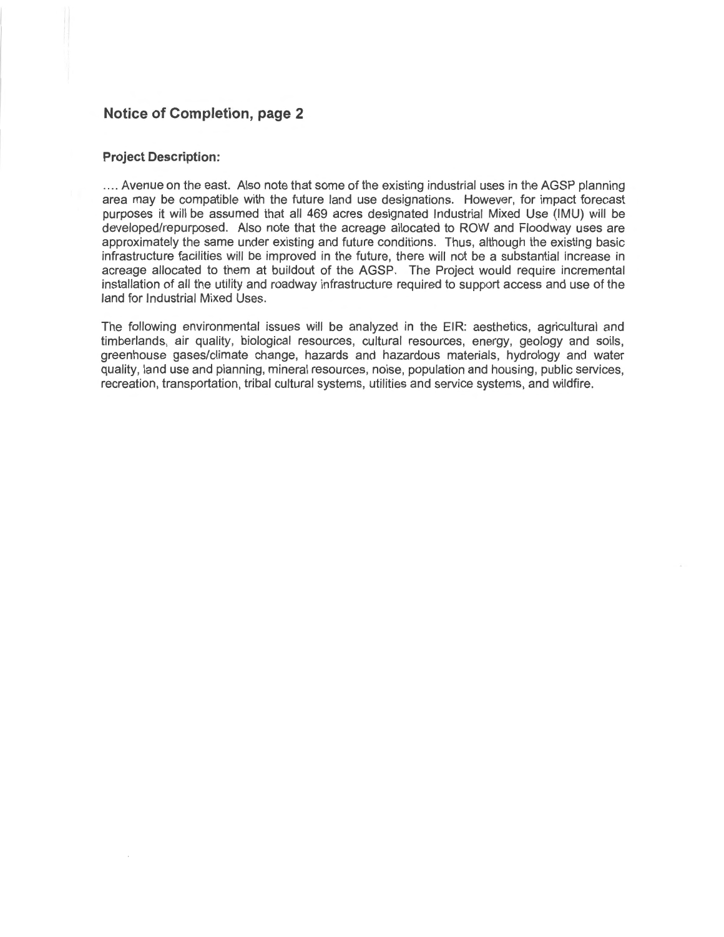# **Notice of Completion, page 2**

#### **Project Description:**

.... Avenue on the east. Also note that some of the existing industrial uses in the AGSP planning area may be compatible with the future land use designations. However, for impact forecast purposes it will be assumed that all 469 acres designated Industrial Mixed Use (IMU) will be developed/repurposed. Also note that the acreage allocated to ROW and Floodway uses are approximately the same under existing and future conditions. Thus, although the existing basic infrastructure facilities will be improved in the future, there will not be a substantial increase in acreage allocated to them at buildout of the AGSP. The Project would require incremental installation of all the utility and roadway infrastructure required to support access and use of the land for Industrial Mixed Uses.

The following environmental issues will be analyzed in the EIR: aesthetics, agricultural and timberlands, air quality, biological resources, cultural resources, energy, geology and soils, greenhouse gases/climate change, hazards and hazardous materials, hydrology and water quality, land use and planning, mineral resources, noise, population and housing, public services, recreation, transportation, tribal cultural systems, utilities and service systems, and wildfire.